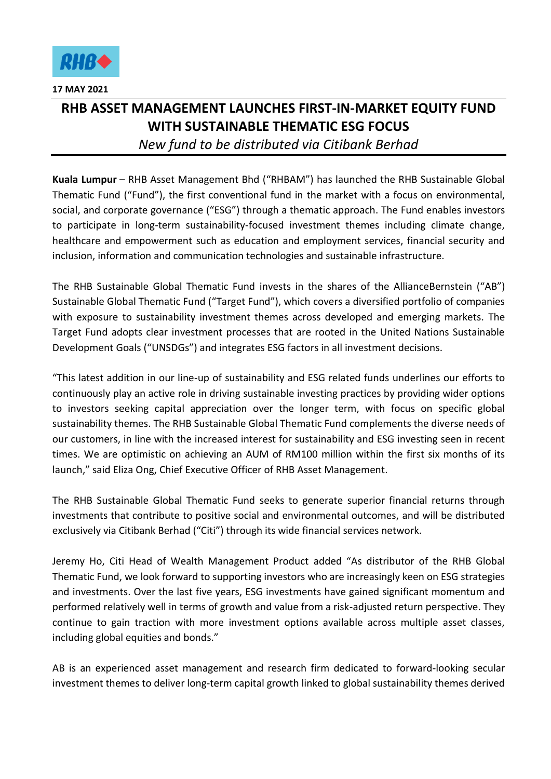

## **RHB ASSET MANAGEMENT LAUNCHES FIRST-IN-MARKET EQUITY FUND WITH SUSTAINABLE THEMATIC ESG FOCUS** *New fund to be distributed via Citibank Berhad*

**Kuala Lumpur** – RHB Asset Management Bhd ("RHBAM") has launched the RHB Sustainable Global Thematic Fund ("Fund"), the first conventional fund in the market with a focus on environmental, social, and corporate governance ("ESG") through a thematic approach. The Fund enables investors to participate in long-term sustainability-focused investment themes including climate change, healthcare and empowerment such as education and employment services, financial security and inclusion, information and communication technologies and sustainable infrastructure.

The RHB Sustainable Global Thematic Fund invests in the shares of the AllianceBernstein ("AB") Sustainable Global Thematic Fund ("Target Fund"), which covers a diversified portfolio of companies with exposure to sustainability investment themes across developed and emerging markets. The Target Fund adopts clear investment processes that are rooted in the United Nations Sustainable Development Goals ("UNSDGs") and integrates ESG factors in all investment decisions.

"This latest addition in our line-up of sustainability and ESG related funds underlines our efforts to continuously play an active role in driving sustainable investing practices by providing wider options to investors seeking capital appreciation over the longer term, with focus on specific global sustainability themes. The RHB Sustainable Global Thematic Fund complements the diverse needs of our customers, in line with the increased interest for sustainability and ESG investing seen in recent times. We are optimistic on achieving an AUM of RM100 million within the first six months of its launch," said Eliza Ong, Chief Executive Officer of RHB Asset Management.

The RHB Sustainable Global Thematic Fund seeks to generate superior financial returns through investments that contribute to positive social and environmental outcomes, and will be distributed exclusively via Citibank Berhad ("Citi") through its wide financial services network.

Jeremy Ho, Citi Head of Wealth Management Product added "As distributor of the RHB Global Thematic Fund, we look forward to supporting investors who are increasingly keen on ESG strategies and investments. Over the last five years, ESG investments have gained significant momentum and performed relatively well in terms of growth and value from a risk-adjusted return perspective. They continue to gain traction with more investment options available across multiple asset classes, including global equities and bonds."

AB is an experienced asset management and research firm dedicated to forward-looking secular investment themes to deliver long-term capital growth linked to global sustainability themes derived